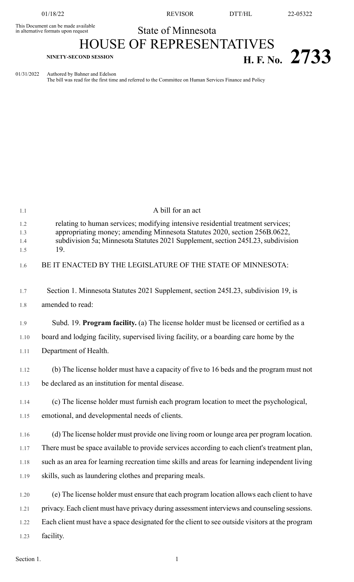This Document can be made available<br>in alternative formats upon request

01/18/22 REVISOR DTT/HL 22-05322

## State of Minnesota

## HOUSE OF REPRESENTATIVES **H. F. No. 2733**

01/31/2022 Authored by Bahner and Edelson

The bill was read for the first time and referred to the Committee on Human Services Finance and Policy

| 1.1        | A bill for an act                                                                                                                                            |
|------------|--------------------------------------------------------------------------------------------------------------------------------------------------------------|
| 1.2<br>1.3 | relating to human services; modifying intensive residential treatment services;<br>appropriating money; amending Minnesota Statutes 2020, section 256B.0622, |
| 1.4<br>1.5 | subdivision 5a; Minnesota Statutes 2021 Supplement, section 245I.23, subdivision<br>19.                                                                      |
| 1.6        | BE IT ENACTED BY THE LEGISLATURE OF THE STATE OF MINNESOTA:                                                                                                  |
| 1.7        | Section 1. Minnesota Statutes 2021 Supplement, section 245I.23, subdivision 19, is                                                                           |
| 1.8        | amended to read:                                                                                                                                             |
| 1.9        | Subd. 19. Program facility. (a) The license holder must be licensed or certified as a                                                                        |
| 1.10       | board and lodging facility, supervised living facility, or a boarding care home by the                                                                       |
| 1.11       | Department of Health.                                                                                                                                        |
| 1.12       | (b) The license holder must have a capacity of five to 16 beds and the program must not                                                                      |
| 1.13       | be declared as an institution for mental disease.                                                                                                            |
| 1.14       | (c) The license holder must furnish each program location to meet the psychological,                                                                         |
| 1.15       | emotional, and developmental needs of clients.                                                                                                               |
| 1.16       | (d) The license holder must provide one living room or lounge area per program location.                                                                     |
| 1.17       | There must be space available to provide services according to each client's treatment plan,                                                                 |
| 1.18       | such as an area for learning recreation time skills and areas for learning independent living                                                                |
| 1.19       | skills, such as laundering clothes and preparing meals.                                                                                                      |
| 1.20       | (e) The license holder must ensure that each program location allows each client to have                                                                     |
| 1.21       | privacy. Each client must have privacy during assessment interviews and counseling sessions.                                                                 |
| 1.22       | Each client must have a space designated for the client to see outside visitors at the program                                                               |
| 1.23       | facility.                                                                                                                                                    |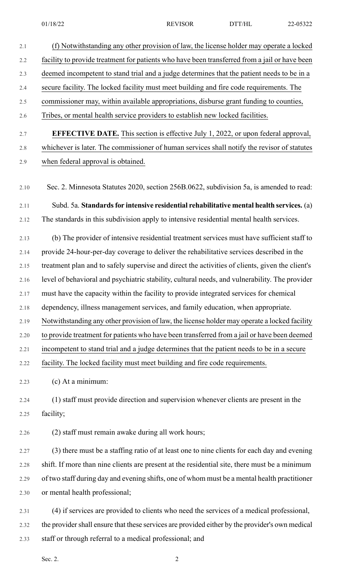| 2.1     | (f) Notwithstanding any other provision of law, the license holder may operate a locked         |
|---------|-------------------------------------------------------------------------------------------------|
| 2.2     | facility to provide treatment for patients who have been transferred from a jail or have been   |
| 2.3     | deemed incompetent to stand trial and a judge determines that the patient needs to be in a      |
| 2.4     | secure facility. The locked facility must meet building and fire code requirements. The         |
| $2.5\,$ | commissioner may, within available appropriations, disburse grant funding to counties,          |
| 2.6     | Tribes, or mental health service providers to establish new locked facilities.                  |
| 2.7     | <b>EFFECTIVE DATE.</b> This section is effective July 1, 2022, or upon federal approval,        |
| 2.8     | whichever is later. The commissioner of human services shall notify the revisor of statutes     |
| 2.9     | when federal approval is obtained.                                                              |
|         |                                                                                                 |
| 2.10    | Sec. 2. Minnesota Statutes 2020, section 256B.0622, subdivision 5a, is amended to read:         |
| 2.11    | Subd. 5a. Standards for intensive residential rehabilitative mental health services. (a)        |
| 2.12    | The standards in this subdivision apply to intensive residential mental health services.        |
| 2.13    | (b) The provider of intensive residential treatment services must have sufficient staff to      |
| 2.14    | provide 24-hour-per-day coverage to deliver the rehabilitative services described in the        |
| 2.15    | treatment plan and to safely supervise and direct the activities of clients, given the client's |
| 2.16    | level of behavioral and psychiatric stability, cultural needs, and vulnerability. The provider  |
| 2.17    | must have the capacity within the facility to provide integrated services for chemical          |
| 2.18    | dependency, illness management services, and family education, when appropriate.                |
| 2.19    | Notwithstanding any other provision of law, the license holder may operate a locked facility    |
| 2.20    | to provide treatment for patients who have been transferred from a jail or have been deemed     |
| 2.21    | incompetent to stand trial and a judge determines that the patient needs to be in a secure      |
| 2.22    | facility. The locked facility must meet building and fire code requirements.                    |
| 2.23    | (c) At a minimum:                                                                               |
| 2.24    | (1) staff must provide direction and supervision whenever clients are present in the            |
| 2.25    | facility;                                                                                       |
| 2.26    | (2) staff must remain awake during all work hours;                                              |
| 2.27    | (3) there must be a staffing ratio of at least one to nine clients for each day and evening     |
| 2.28    | shift. If more than nine clients are present at the residential site, there must be a minimum   |
| 2.29    | of two staff during day and evening shifts, one of whom must be a mental health practitioner    |
| 2.30    | or mental health professional;                                                                  |
| 2.31    | (4) if services are provided to clients who need the services of a medical professional,        |
| 2.32    | the provider shall ensure that these services are provided either by the provider's own medical |
|         |                                                                                                 |

2.33 staff or through referral to a medical professional; and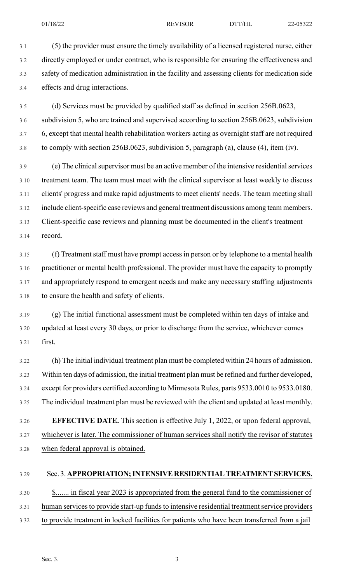3.1 (5) the provider must ensure the timely availability of a licensed registered nurse, either 3.2 directly employed or under contract, who is responsible for ensuring the effectiveness and 3.3 safety of medication administration in the facility and assessing clients for medication side 3.4 effects and drug interactions.

3.5 (d) Services must be provided by qualified staff as defined in section 256B.0623,

3.6 subdivision 5, who are trained and supervised according to section 256B.0623, subdivision 3.7 6, except that mental health rehabilitation workers acting as overnight staff are not required 3.8 to comply with section 256B.0623, subdivision 5, paragraph (a), clause (4), item (iv).

3.9 (e) The clinical supervisor must be an active member of the intensive residential services 3.10 treatment team. The team must meet with the clinical supervisor at least weekly to discuss 3.11 clients' progress and make rapid adjustments to meet clients' needs. The team meeting shall 3.12 include client-specific case reviews and general treatment discussions among team members. 3.13 Client-specific case reviews and planning must be documented in the client's treatment 3.14 record.

3.15 (f) Treatment staff must have prompt access in person or by telephone to a mental health 3.16 practitioner or mental health professional. The provider must have the capacity to promptly 3.17 and appropriately respond to emergent needs and make any necessary staffing adjustments 3.18 to ensure the health and safety of clients.

3.19 (g) The initial functional assessment must be completed within ten days of intake and 3.20 updated at least every 30 days, or prior to discharge from the service, whichever comes 3.21 first.

3.22 (h) The initial individual treatment plan must be completed within 24 hours of admission. 3.23 Within ten days of admission, the initial treatment plan must be refined and further developed, 3.24 except for providers certified according to Minnesota Rules, parts 9533.0010 to 9533.0180. 3.25 The individual treatment plan must be reviewed with the client and updated at least monthly.

3.26 **EFFECTIVE DATE.** This section is effective July 1, 2022, or upon federal approval, 3.27 whichever is later. The commissioner of human services shall notify the revisor of statutes 3.28 when federal approval is obtained.

## 3.29 Sec. 3. **APPROPRIATION;INTENSIVE RESIDENTIALTREATMENTSERVICES.**

3.30 \$....... in fiscal year 2023 is appropriated from the general fund to the commissioner of 3.31 human services to provide start-up funds to intensive residential treatment service providers 3.32 to provide treatment in locked facilities for patients who have been transferred from a jail